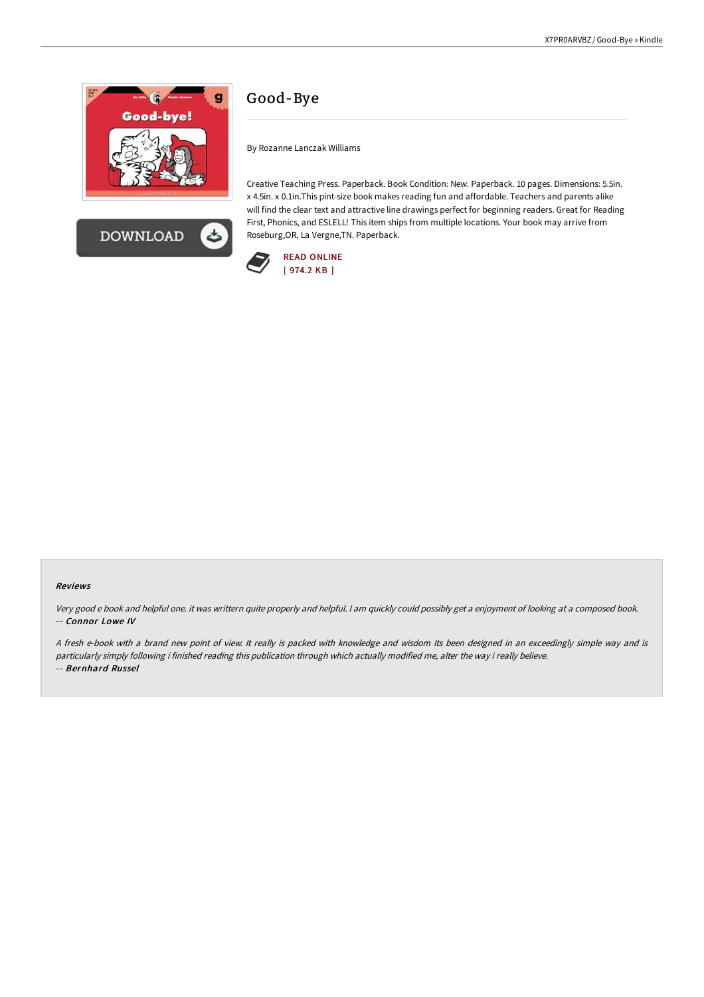



# Good-Bye

By Rozanne Lanczak Williams

Creative Teaching Press. Paperback. Book Condition: New. Paperback. 10 pages. Dimensions: 5.5in. x 4.5in. x 0.1in.This pint-size book makes reading fun and affordable. Teachers and parents alike will find the clear text and attractive line drawings perfect for beginning readers. Great for Reading First, Phonics, and ESLELL! This item ships from multiple locations. Your book may arrive from Roseburg,OR, La Vergne,TN. Paperback.



### Reviews

Very good <sup>e</sup> book and helpful one. it was writtern quite properly and helpful. <sup>I</sup> am quickly could possibly get <sup>a</sup> enjoyment of looking at <sup>a</sup> composed book. -- Connor Lowe IV

<sup>A</sup> fresh e-book with <sup>a</sup> brand new point of view. It really is packed with knowledge and wisdom Its been designed in an exceedingly simple way and is particularly simply following i finished reading this publication through which actually modified me, alter the way i really believe. -- Bernhard Russel